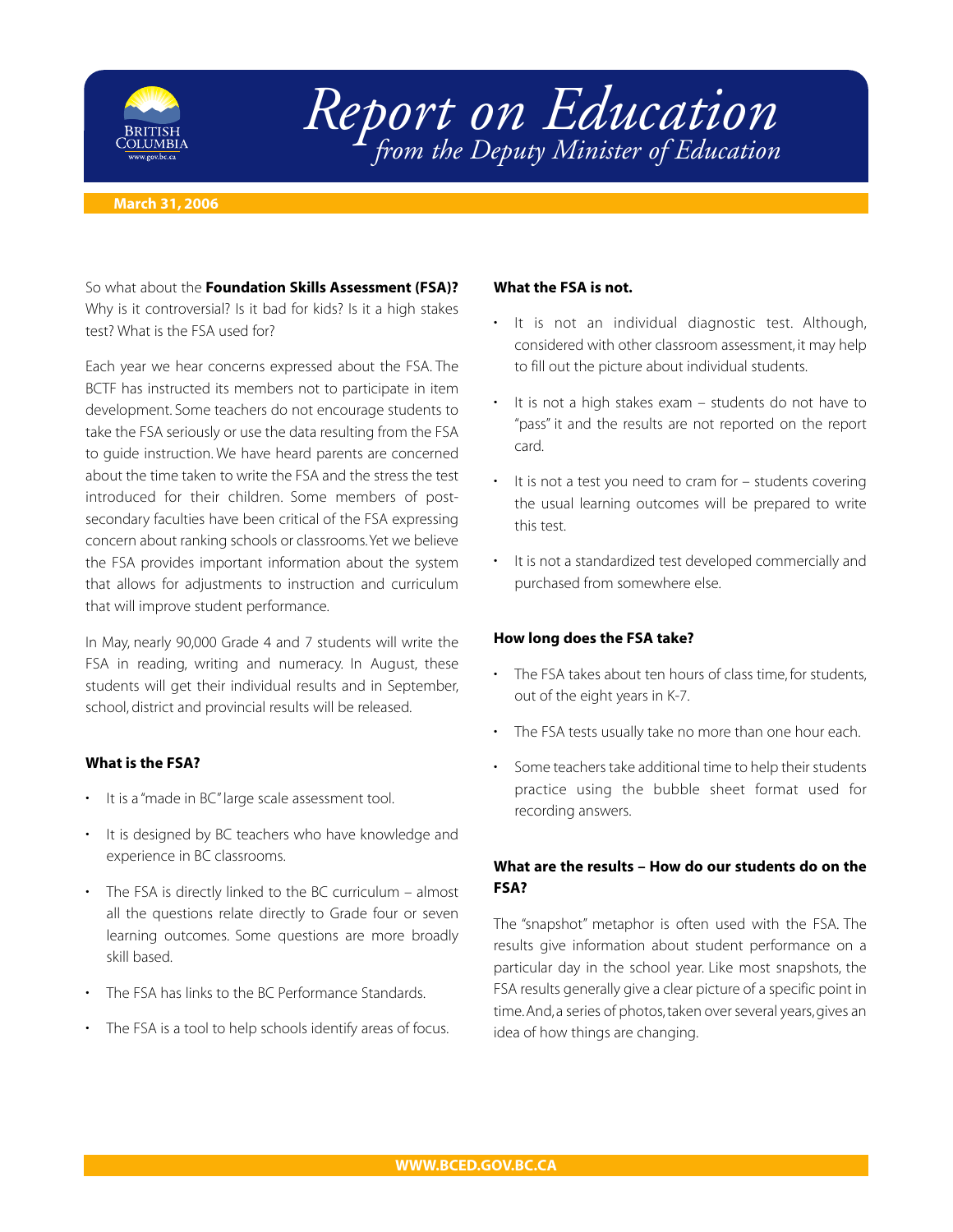

# *Report on Education from the Deputy Minister of Education*

#### **March 31, 2006**

So what about the **Foundation Skills Assessment (FSA)?** Why is it controversial? Is it bad for kids? Is it a high stakes test? What is the FSA used for?

Each year we hear concerns expressed about the FSA. The BCTF has instructed its members not to participate in item development. Some teachers do not encourage students to take the FSA seriously or use the data resulting from the FSA to guide instruction. We have heard parents are concerned about the time taken to write the FSA and the stress the test introduced for their children. Some members of postsecondary faculties have been critical of the FSA expressing concern about ranking schools or classrooms.Yet we believe the FSA provides important information about the system that allows for adjustments to instruction and curriculum that will improve student performance.

In May, nearly 90,000 Grade 4 and 7 students will write the FSA in reading, writing and numeracy. In August, these students will get their individual results and in September, school, district and provincial results will be released.

### **What is the FSA?**

- It is a "made in BC" large scale assessment tool.
- It is designed by BC teachers who have knowledge and experience in BC classrooms.
- The FSA is directly linked to the BC curriculum almost all the questions relate directly to Grade four or seven learning outcomes. Some questions are more broadly skill based.
- The FSA has links to the BC Performance Standards.
- The FSA is a tool to help schools identify areas of focus.

#### **What the FSA is not.**

- It is not an individual diagnostic test. Although, considered with other classroom assessment, it may help to fill out the picture about individual students.
- It is not a high stakes exam students do not have to "pass" it and the results are not reported on the report card.
- It is not a test you need to cram for students covering the usual learning outcomes will be prepared to write this test.
- It is not a standardized test developed commercially and purchased from somewhere else.

#### **How long does the FSA take?**

- The FSA takes about ten hours of class time, for students, out of the eight years in K-7.
- The FSA tests usually take no more than one hour each.
- Some teachers take additional time to help their students practice using the bubble sheet format used for recording answers.

## **What are the results – How do our students do on the FSA?**

The "snapshot" metaphor is often used with the FSA. The results give information about student performance on a particular day in the school year. Like most snapshots, the FSA results generally give a clear picture of a specific point in time.And, a series of photos, taken over several years, gives an idea of how things are changing.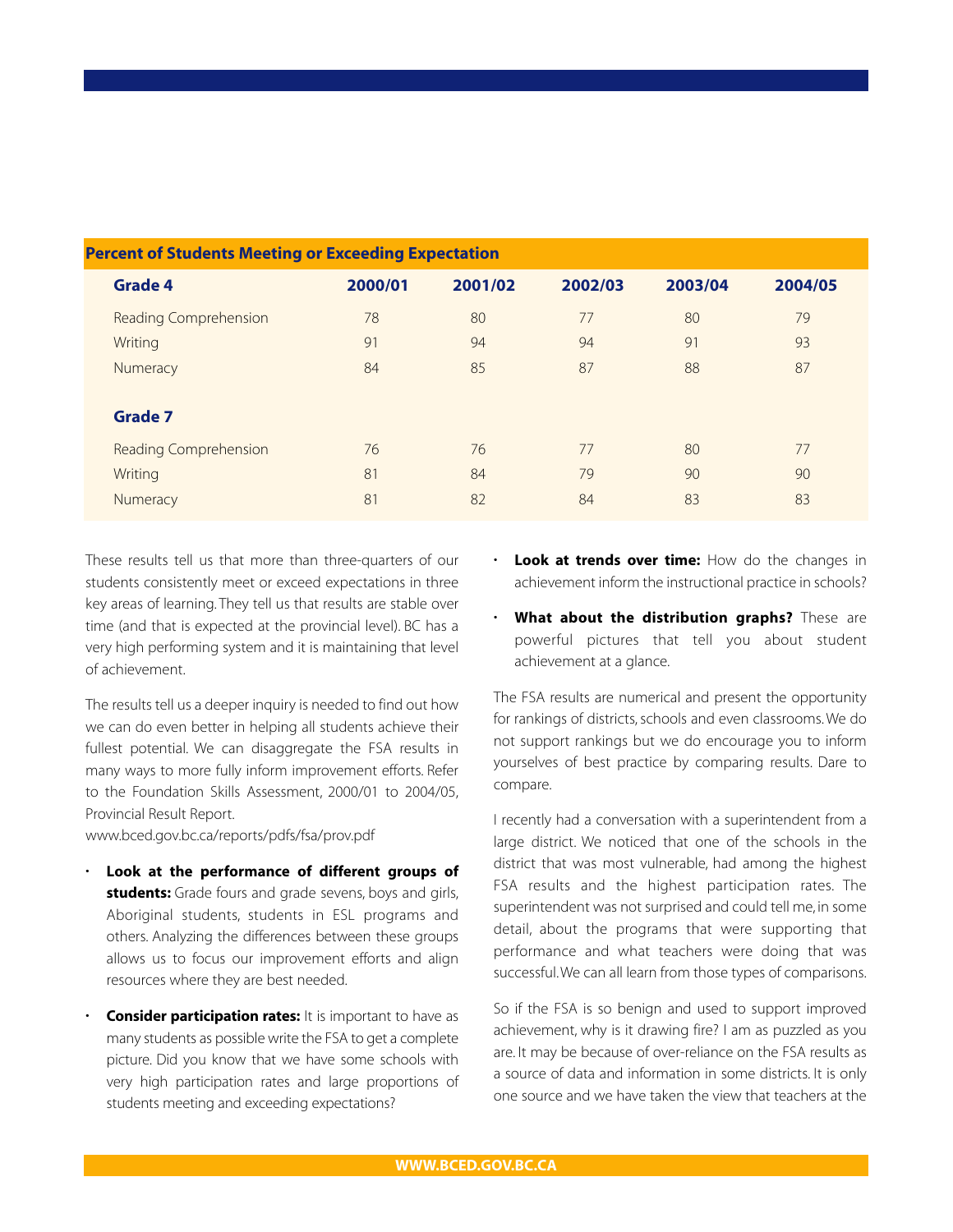| electic of students meeting of exceeding expectation |                              |         |         |         |         |         |  |
|------------------------------------------------------|------------------------------|---------|---------|---------|---------|---------|--|
|                                                      | <b>Grade 4</b>               | 2000/01 | 2001/02 | 2002/03 | 2003/04 | 2004/05 |  |
|                                                      | <b>Reading Comprehension</b> | 78      | 80      | 77      | 80      | 79      |  |
|                                                      | Writing                      | 91      | 94      | 94      | 91      | 93      |  |
|                                                      | Numeracy                     | 84      | 85      | 87      | 88      | 87      |  |
|                                                      | <b>Grade 7</b>               |         |         |         |         |         |  |
|                                                      | <b>Reading Comprehension</b> | 76      | 76      | 77      | 80      | 77      |  |
|                                                      | Writing                      | 81      | 84      | 79      | 90      | 90      |  |
|                                                      | Numeracy                     | 81      | 82      | 84      | 83      | 83      |  |
|                                                      |                              |         |         |         |         |         |  |

# **Percent of Students Meeting or Exceeding Expectation**

These results tell us that more than three-quarters of our students consistently meet or exceed expectations in three key areas of learning. They tell us that results are stable over time (and that is expected at the provincial level). BC has a very high performing system and it is maintaining that level of achievement.

The results tell us a deeper inquiry is needed to find out how we can do even better in helping all students achieve their fullest potential. We can disaggregate the FSA results in many ways to more fully inform improvement efforts. Refer to the Foundation Skills Assessment, 2000/01 to 2004/05, Provincial Result Report.

www.bced.gov.bc.ca/reports/pdfs/fsa/prov.pdf

- **Look at the performance of different groups of students:** Grade fours and grade sevens, boys and girls, Aboriginal students, students in ESL programs and others. Analyzing the differences between these groups allows us to focus our improvement efforts and align resources where they are best needed.
- **Consider participation rates:** It is important to have as many students as possible write the FSA to get a complete picture. Did you know that we have some schools with very high participation rates and large proportions of students meeting and exceeding expectations?
- **Look at trends over time:** How do the changes in achievement inform the instructional practice in schools?
- **What about the distribution graphs?** These are powerful pictures that tell you about student achievement at a glance.

The FSA results are numerical and present the opportunity for rankings of districts, schools and even classrooms. We do not support rankings but we do encourage you to inform yourselves of best practice by comparing results. Dare to compare.

I recently had a conversation with a superintendent from a large district. We noticed that one of the schools in the district that was most vulnerable, had among the highest FSA results and the highest participation rates. The superintendent was not surprised and could tell me, in some detail, about the programs that were supporting that performance and what teachers were doing that was successful.We can all learn from those types of comparisons.

So if the FSA is so benign and used to support improved achievement, why is it drawing fire? I am as puzzled as you are. It may be because of over-reliance on the FSA results as a source of data and information in some districts. It is only one source and we have taken the view that teachers at the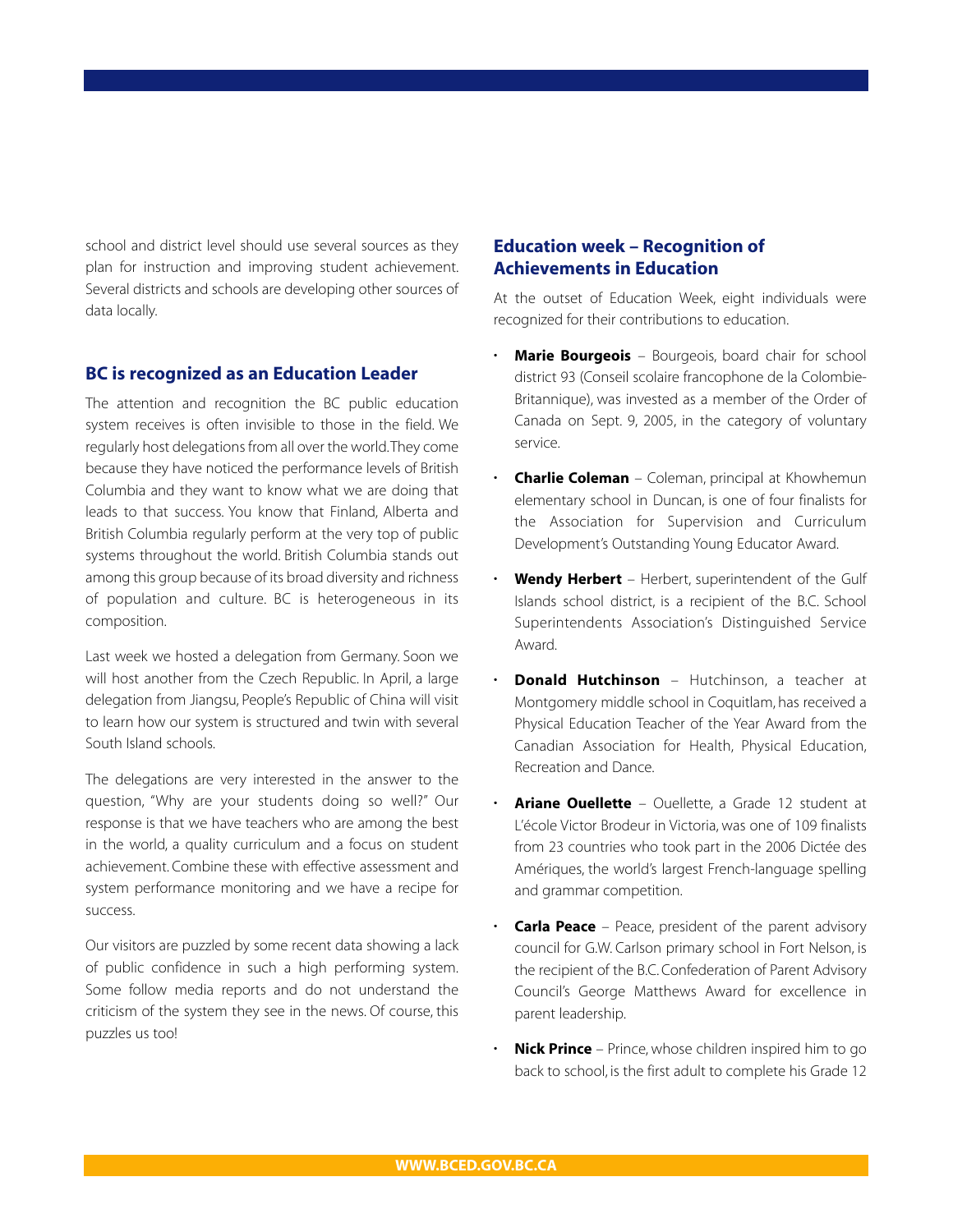school and district level should use several sources as they plan for instruction and improving student achievement. Several districts and schools are developing other sources of data locally.

## **BC is recognized as an Education Leader**

The attention and recognition the BC public education system receives is often invisible to those in the field. We regularly host delegations from all over the world.They come because they have noticed the performance levels of British Columbia and they want to know what we are doing that leads to that success. You know that Finland, Alberta and British Columbia regularly perform at the very top of public systems throughout the world. British Columbia stands out among this group because of its broad diversity and richness of population and culture. BC is heterogeneous in its composition.

Last week we hosted a delegation from Germany. Soon we will host another from the Czech Republic. In April, a large delegation from Jiangsu, People's Republic of China will visit to learn how our system is structured and twin with several South Island schools.

The delegations are very interested in the answer to the question, "Why are your students doing so well?" Our response is that we have teachers who are among the best in the world, a quality curriculum and a focus on student achievement. Combine these with effective assessment and system performance monitoring and we have a recipe for success.

Our visitors are puzzled by some recent data showing a lack of public confidence in such a high performing system. Some follow media reports and do not understand the criticism of the system they see in the news. Of course, this puzzles us too!

# **Education week – Recognition of Achievements in Education**

At the outset of Education Week, eight individuals were recognized for their contributions to education.

- **Marie Bourgeois** Bourgeois, board chair for school district 93 (Conseil scolaire francophone de la Colombie-Britannique), was invested as a member of the Order of Canada on Sept. 9, 2005, in the category of voluntary service.
- **Charlie Coleman** Coleman, principal at Khowhemun elementary school in Duncan, is one of four finalists for the Association for Supervision and Curriculum Development's Outstanding Young Educator Award.
- **Wendy Herbert** Herbert, superintendent of the Gulf Islands school district, is a recipient of the B.C. School Superintendents Association's Distinguished Service Award.
- **Donald Hutchinson** Hutchinson, a teacher at Montgomery middle school in Coquitlam, has received a Physical Education Teacher of the Year Award from the Canadian Association for Health, Physical Education, Recreation and Dance.
- **Ariane Ouellette** Ouellette, a Grade 12 student at L'école Victor Brodeur in Victoria, was one of 109 finalists from 23 countries who took part in the 2006 Dictée des Amériques, the world's largest French-language spelling and grammar competition.
- **Carla Peace** Peace, president of the parent advisory council for G.W. Carlson primary school in Fort Nelson, is the recipient of the B.C. Confederation of Parent Advisory Council's George Matthews Award for excellence in parent leadership.
- **Nick Prince** Prince, whose children inspired him to go back to school, is the first adult to complete his Grade 12